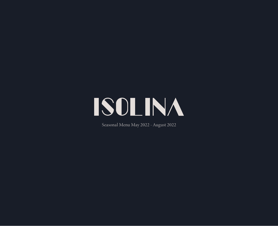

Seasonal Menu May 2022 - August 2022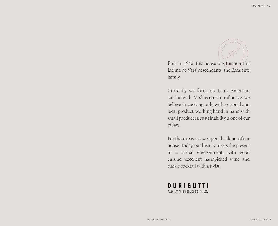

Built in 1942, this house was the home of Isolina de Vars' descendants: the Escalante family.

Currently we focus on Latin American cuisine with Mediterranean influence, we believe in cooking only with seasonal and local product, working hand in hand with small producers: sustainability is one of our pillars.

For these reasons, we open the doors of our house. Today, our history meets the present in a casual environment, with good cuisine, excellent handpicked wine and classic cocktail with a twist.

**DURIGUTTI** FAMILY WINEMAKERS EST. 2002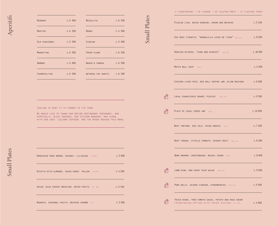| NEGRONI              | c.4900 | MEZCALITA                 | c.6500 |
|----------------------|--------|---------------------------|--------|
| MARTINI              | c.6200 | <b>BRONX</b>              | c.4900 |
| <b>OLD FASHIONED</b> | c.5500 | <b>SIDECAR</b>            | c.5900 |
| MANHATTAN            | c.6500 | PAPER PLANE               | c.6500 |
| <b>BAMBOO</b>        | c.4900 | NAKED & FAMOUS            | c.6500 |
| COSMOPOLITAN         | c.6500 | <b>BETWEEN THE SHEETS</b> | c.6500 |
|                      |        |                           |        |

**Small Plates** Small Plates

 $\frac{\partial}{\partial x}$ 

 $\frac{\partial}{\partial x}$ 

 $\sum_{i=1}^{n}$ 

 $\frac{\partial}{\partial \vec{k}}$ 

 $\frac{\partial}{\partial \vec{k}}$ 

v (vegetarian) / vg (vegan) / gf (gluten free) / lf (lactose free)

| PICKLED LISA, DRIED SARDINE, CREAM AND BRIOCHE                                                         | c.5100  |
|--------------------------------------------------------------------------------------------------------|---------|
| SEA BASS TIRADITO, "NARANJILLA LECHE DE TIGRE" (GF, LF) C.8 200                                        |         |
| ROASTED OCTOPUS, "CORN AND APAZOTE" (GF,LF)                                                            | c.10900 |
| MATZO BALL SOUP (LF)                                                                                   | c.4200  |
| CHICKEN LIVER PATE, RED BELL PEPPER JAM, DIJON MUSTARD C.6 900                                         |         |
| LOCAL CHARCUTERIE BOARD, PICKLES (GF, LF)                                                              | c.9500  |
| PLATE OF LOCAL CURED JAM (LF)                                                                          | c.12000 |
| BEEF TARTARE, EGG YOLK, FRIED GNOCCO (LF)                                                              | c.7200  |
| BEEF TONGUE, VITELLO TONNATO, CASHEW FRUIT (GF,LF)                                                     | c.6200  |
| BONE MARROW, SWEETBREADS, MUSSEL CREAM (GF)                                                            | c.8900  |
| LAMB RIBS, RAW HEART PALM SALAD (GF,LF)                                                                | c.9500  |
| PORK BELLY, GUINEO VINEGAR, STRAWBERRIES (GF,LF)                                                       | c.5500  |
| FRIED WINGS, TREE-TOMATO SAUCE, POTATO AND PEAS CREAM<br>(VEGETARIAN OPTION WITH FRIED SEITAN) (V, GF) | c.4900  |

Isolina is what it is thanks to its team.

We would like to thank our entire restaurant personnel, and especially, Alexi Godinez, our kitchen manager, who along with our chef, Luciano Lofeudo, are the minds behind this menu.

ARRACACHE HASH BROWN, COCONUT, LILIACEAE (V,GF) C.3 900 RICOTTA WITH ALMONDS, CACAO HONEY, POLLEN (V,GF) C.4 200 SALAD, BLUE CHEESE DRESSING, DRIED FRUITS (V, GF) C.3 700 BURRATA, SEASONAL FRUITS, BRIOCHE CRUMBS (V) C.5 900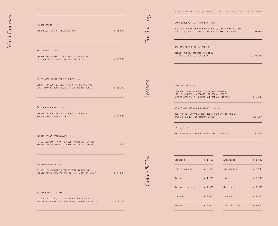| GNOCCO SARDO (LF)                                                                             |         |
|-----------------------------------------------------------------------------------------------|---------|
| LAMB RAGU, CHERY TOMATOES, PEAS                                                               | c.13900 |
|                                                                                               |         |
|                                                                                               |         |
| VEAL CUTLET (GF)                                                                              |         |
| CARAMELIZED GARLIC IN HIBISCUS REDUCTION,                                                     |         |
| GRILLED SWISS CHARD, SWEET CORN PUREE                                                         | c.15900 |
|                                                                                               |         |
|                                                                                               |         |
| DRIED AGED DUROC PORK RIB EYE (GF, LF)                                                        |         |
| LEMON, PIGEON PEA LEAF SALAD, PINEAPPLE AND                                                   |         |
| GREEN MANGO. RIPE PLANTAIN AND PEANUT PUREE                                                   | c.11200 |
|                                                                                               |         |
|                                                                                               |         |
| GRILLED SEA BASS (GF, LF)                                                                     |         |
| YAM IN FISH BROTH, PALM HEART PICADILLO,                                                      |         |
| ARUGULA AND MUSTARD LEAVES                                                                    | c.15900 |
|                                                                                               |         |
|                                                                                               |         |
| RISOTTO ALLA PARMIGIANA (V, GF)                                                               |         |
| FRIED EGGPLANT, GOAT CHEESE, ARUGULA, TOASTED<br>ALMONDS AND HAZELNUTS, GRILLED TOMATO CHERRY | c.10500 |
|                                                                                               |         |
|                                                                                               |         |
| HEAD-ON SHRIMPS (GF)                                                                          |         |
| ON GRILLED ROMAINE LETTUCE WITH TANGERINE                                                     |         |
| VINAIGRETTE, ROASTED GARLIC, HOLLANDAISE SAUCE                                                | c.19200 |
|                                                                                               |         |
|                                                                                               |         |
| ROASTED SWEET POTATO (LG)                                                                     |         |
| DUXELLE FILLING, LETTUCE AND PARSLEY SAUCE,                                                   |         |
| OYSTER MUSHROOM AND CHIMICHURRI, COFFEE CRUMBLE                                               | c.9200  |
|                                                                                               |         |

Desserts

Coffee  $&$  Tea

Coffee & Tea

For Sharing

| LAMB SHOULDER (2-3 PEOPLE) (LF)                                                                                                                           |         |
|-----------------------------------------------------------------------------------------------------------------------------------------------------------|---------|
| ROASTED GARLIC AND BROCCOLI PUREE, LAMB COOKING JUICE,<br>FOCACCIA, BITTER LEAVES SALAD WITH PASSION FRUIT                                                | c.58900 |
| BRAISED BEEF RIBS (2 PEOPLE) (GF)                                                                                                                         |         |
| SQUASH PUREE, SAUTÉED PAK CHOY<br>IN GARLIC BUTTER, "CRIOLLA"                                                                                             | c.35000 |
|                                                                                                                                                           |         |
|                                                                                                                                                           |         |
|                                                                                                                                                           |         |
|                                                                                                                                                           |         |
|                                                                                                                                                           |         |
|                                                                                                                                                           |         |
| COPEY DE DOTA (V)<br>INFUSED CREAM OF COFFEE PEEL AND COOKIES<br>"DE LA CHUMECA", AVOCADO ICE CREAM, BAKED<br>GLAZED APPLE WITH GUINEO AND BANANA VINEGAR | c.6200  |
|                                                                                                                                                           |         |
| GINGER AND CARDAMOM CUSTARD (V, GF)                                                                                                                       |         |
|                                                                                                                                                           | c.5900  |
| RED FRUITS, LAVANDER MERINGUE, PEPPERMINT POWDER,<br>HAZELNUTS AND TREE-TOMATO SAUCE<br>TARTLET (V)                                                       |         |

| <b>ESPRESSO</b>  | $c.1$ 700 | AMERICANO     | c.1800 |
|------------------|-----------|---------------|--------|
| ESPRESSO DOUBLE  | c.2400    | CAPPUCCHINO   | c.2200 |
| RISTRETTO        | $c.1$ 700 | LATTE         | c.2500 |
| RISTRETTO DOUBLE | c.2400    | MOCACCHINO    | c.2500 |
| CORTADO          | c.2000    | CHOCOLATE     | c.2500 |
| MACCHIATO        | c.2000    | TEA SELECTION | c.2000 |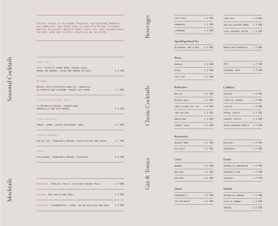| SIBÖ (TIKI)                                                                              |        |                  |
|------------------------------------------------------------------------------------------|--------|------------------|
| TIKI, MIXED OF CUBAN RUMS, CASHEW JUICE,<br>MANGO AND BANANA, CACAO AND ORANGE BITTERS.  | c.6500 |                  |
| <b>MAYÄHUEL</b>                                                                          |        |                  |
| MEZCAL SIETE MISTERIOS DOBA-YEJ, AGUACHILE<br>OF APAZOTE AND JALAPEÑO, MAGUEY SALT WORM. | c.7000 |                  |
| LA MULA DE ESCALANTE (MULE)                                                              |        |                  |
| LA REPÚBLICA ANDINA, GINGER BEER,<br>NARANJILLA AND RIPE MANGO.                          | c.6500 | Classic Cocktail |
| PLAN A (COLLINS)                                                                         |        |                  |
| VODKA, LEMON, COFFEE SACCHARUM, SODA.                                                    | c.5900 |                  |
| CASTINI (MARTINI)                                                                        |        |                  |
| CAS DE LUZ, YERBASANTA ANDINO, CACAO BITTERS AND GUAVA. c.7 500                          |        |                  |
| CHALÉ                                                                                    |        |                  |
| CHILCUAGUE, YERBASANTA ANDINO, COINTREAU.                                                | c.6500 | $\rm{S}$         |
|                                                                                          |        | Ionic            |
|                                                                                          |        | $\bar{\infty}$   |
| MARACATÓN. TROPICAL FRUITS JUICE AND COCONUT MILK.                                       | c.3000 |                  |
| CHULADA. RED FRUITS AND SODA.                                                            | c.3000 |                  |
| PALOMILLA. STRAWBERRIES, LEMON, SALINE SOLUTION AND SODA.                                | c.3000 |                  |

| COCA COLA           | c.2000    | ICED TEA                    | c.2000    |
|---------------------|-----------|-----------------------------|-----------|
| KOMBUCHA            | c.2500    | SAN PELLEGRINO 505ML        | c.3500    |
| LIMONADE            | c.2000    | LOCAL MINERAL WATER         | c.2500    |
| Sparkling Hard Tea  |           |                             |           |
| BLUEBERRY AND ELDER | c.3 800   | MANGO AND PINEAPPLE C.3 800 |           |
| <b>Beers</b>        |           |                             |           |
| MODELO              | c.2800    | <b>IPA</b>                  | c.3500    |
| STOUT               | c.3500    | SEASONAL BEER               | c.3500    |
| PALE ALE            | c.3500    |                             |           |
| Refreshers          |           | Cobblers                    |           |
| MOJITO              | c.4500    | ROSSINI                     | c.4000    |
| MOSCOW MULE         | $c.4$ 900 | TINTO DE VERANO             | $c.3$ 900 |
| LONG ISLAND ICE TEA | c.6500    | CLERICÓ                     | c.4500    |
| TOM COLLINS         | c.5500    | APEROL SPRITZ               | c.4500    |
| AMERICANO           | $c.4$ 900 | CAMPARI SPRITZ              | c.4500    |
| VERMUT TONIC        | $c.4$ 900 | SAINT GERMAIN SPRITZ        | c.5500    |
| Restorative         |           |                             |           |
| BLOODY MARY         | c.4500    | <b>BULLSHOT</b>             | c.5500    |
| 0JO ROJO            | $c.5$ 900 | GARIBALDI                   | c.4500    |
| Citric              |           | Frutal                      |           |
| <b>BOMBAY</b>       | c.4500    | REPÚBLICA AMAZÓNICO         | c.4900    |
| <b>BULLDOG</b>      | c.5200    | <b>GREENALS PINK</b>        | c.5500    |
| <b>MASTERS</b>      | $c.4$ 900 | <b>GREENALS</b>             | c.5500    |
| Floral              |           | Herbal                      |           |
| HENDRINK'S          | c.6500    | REPÚBLICA ANDINA            | $c.4$ 900 |
| THE BOTANIST        | $c.5$ 900 | STAR OF BOMBAY              | c.5500    |

nordés c.5 500